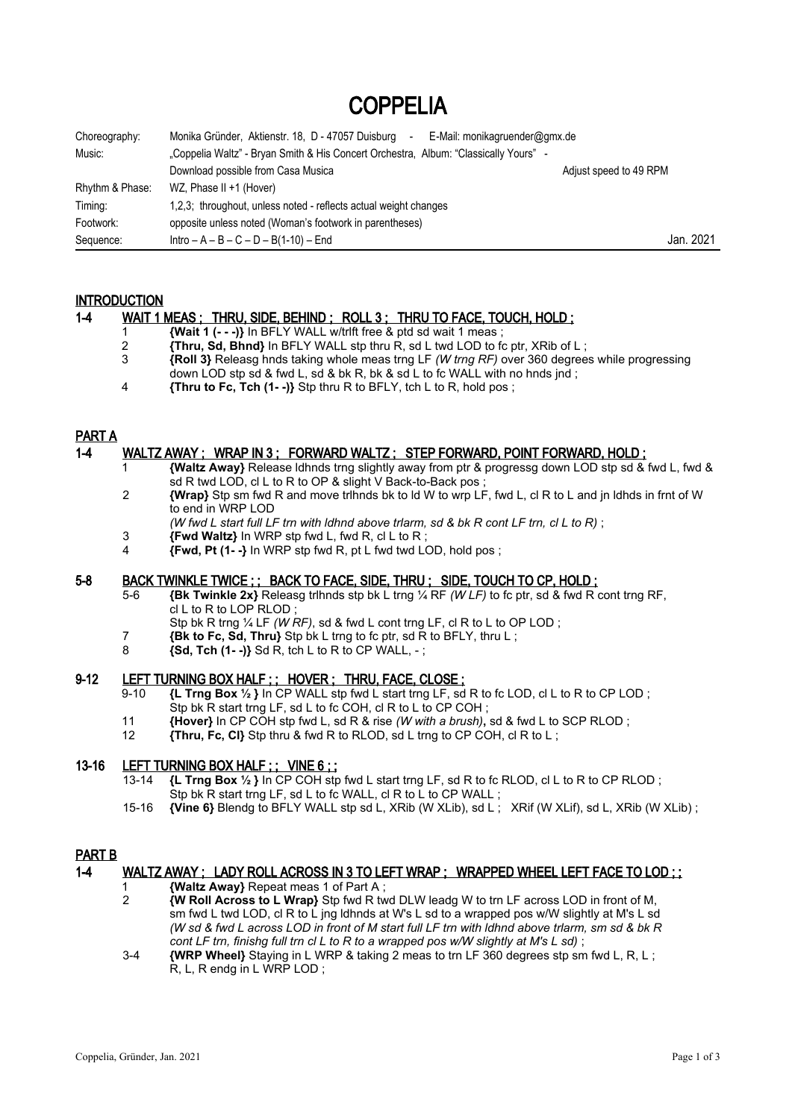# COPPELIA

| Choreography:   | Monika Gründer, Aktienstr. 18, D - 47057 Duisburg<br>E-Mail: monikagruender@gmx.de<br>$\blacksquare$ |                        |
|-----------------|------------------------------------------------------------------------------------------------------|------------------------|
| Music:          | "Coppelia Waltz" - Bryan Smith & His Concert Orchestra, Album: "Classically Yours" -                 |                        |
|                 | Download possible from Casa Musica                                                                   | Adjust speed to 49 RPM |
| Rhythm & Phase: | WZ, Phase II +1 (Hover)                                                                              |                        |
| Timing:         | 1,2,3; throughout, unless noted - reflects actual weight changes                                     |                        |
| Footwork:       | opposite unless noted (Woman's footwork in parentheses)                                              |                        |
| Sequence:       | $Intro - A - B - C - D - B(1-10) - End$                                                              | Jan. 2021              |

## **INTRODUCTION**

## 1-4 WAIT 1 MEAS ; THRU, SIDE, BEHIND ; ROLL 3 ; THRU TO FACE, TOUCH, HOLD ;

- 1 **{Wait 1 (- -)}** In BFLY WALL w/trlft free & ptd sd wait 1 meas ;
- **<sup>2</sup> {Thru, Sd, Bhnd}** In BFLY WALL stp thru R, sd L twd LOD to fc ptr, XRib of L;<br>**2 Roll 3** Releasg hnds taking whole meas trng LF (*W trng RF*) over 360 degree
- 3 **{Roll 3}** Releasg hnds taking whole meas trng LF *(W trng RF)* over 360 degrees while progressing down LOD stp sd & fwd L, sd & bk R, bk & sd L to fc WALL with no hnds jnd :
- 4 **{Thru to Fc, Tch (1- -)}** Stp thru R to BFLY, tch L to R, hold pos ;

## PART A

## 1-4 WALTZ AWAY ; WRAP IN 3 ; FORWARD WALTZ ; STEP FORWARD, POINT FORWARD, HOLD ;

- 1 **{Waltz Away}** Release ldhnds trng slightly away from ptr & progressg down LOD stp sd & fwd L, fwd & sd R twd LOD, cl L to R to OP & slight V Back-to-Back pos ;
- 2 **{Wrap}** Stp sm fwd R and move trlhnds bk to ld W to wrp LF, fwd L, cl R to L and jn ldhds in frnt of W to end in WRP LOD
	- *(W fwd L start full LF trn with ldhnd above trlarm, sd & bk R cont LF trn, cl L to R)* ;
- $\left\{\n \begin{array}{l}\n \text{Fwd Waltz} \\
\text{I} & \text{I} \\
\text{I} & \text{I} \\
\text{I} & \text{I} \\
\text{I} & \text{I} \\
\text{I} & \text{I} \\
\text{I} & \text{I} \\
\text{I} & \text{I} \\
\text{I} & \text{I} \\
\text{I} & \text{I} \\
\text{I} & \text{I} \\
\text{I} & \text{I} \\
\text{I} & \text{I} \\
\text{I} & \text{I} \\
\text{I} & \text{I} \\
\text{I} & \text{I} \\
\text{I} & \text{I} \\
\text{I} &$
- 4 **{Fwd, Pt (1- -}** In WRP stp fwd R, pt L fwd twd LOD, hold pos ;

## 5-8 BACK TWINKLE TWICE ; ; BACK TO FACE, SIDE, THRU ; SIDE, TOUCH TO CP, HOLD ;

- 5-6 **{Bk Twinkle 2x}** Releasg trlhnds stp bk L trng ¼ RF *(W LF)* to fc ptr, sd & fwd R cont trng RF,  $c1$  to R to LOP RLOD :
	- Stp bk R trng <sup>1/4</sup> LF *(W RF)*, sd & fwd L cont trng LF, cl R to L to OP LOD ;
- 7 **{Bk to Fc, Sd, Thru}** Stp bk L trng to fc ptr, sd R to BFLY, thru L ;
- $\{Sd, \text{Tch } (1-\cdot)\}$   $Sd \text{ R}$ ,  $\text{tch } L$  to R to CP WALL,  $-\cdot$ ;

## 9-12 LEFT TURNING BOX HALF ; ; HOVER ; THRU, FACE, CLOSE ;

- 9-10 **{L Trng Box ½ }** In CP WALL stp fwd L start trng LF, sd R to fc LOD, cl L to R to CP LOD ;
	- Stp bk R start trng LF, sd L to fc COH, cl R to L to CP COH ; 11 **{Hover}** In CP COH stp fwd L, sd R & rise *(W with a brush)***,** sd & fwd L to SCP RLOD ;
	- 12 **{Thru, Fc, Cl}** Stp thru & fwd R to RLOD, sd L trng to CP COH, cl R to L ;

## 13-16 LEFT TURNING BOX HALF ; ; VINE 6 ; ;

- 13-14 **{L Trng Box ½ }** In CP COH stp fwd L start trng LF, sd R to fc RLOD, cl L to R to CP RLOD ; Stp bk R start trng LF, sd L to fc WALL, cl R to L to CP WALL;
- 15-16 **{Vine 6}** Blendg to BFLY WALL stp sd L, XRib (W XLib), sd L ; XRif (W XLif), sd L, XRib (W XLib) ;

## PART B

## 1-4 WALTZ AWAY ; LADY ROLL ACROSS IN 3 TO LEFT WRAP ; WRAPPED WHEEL LEFT FACE TO LOD ; ;

- 1 **{Waltz Away}** Repeat meas 1 of Part A ;
- 2 **{W Roll Across to L Wrap}** Stp fwd R twd DLW leadg W to trn LF across LOD in front of M, sm fwd L twd LOD, cl R to L jng ldhnds at W's L sd to a wrapped pos w/W slightly at M's L sd *(W sd & fwd L across LOD in front of M start full LF trn with ldhnd above trlarm, sm sd & bk R cont LF trn, finishg full trn cl L to R to a wrapped pos w/W slightly at M's L sd)* ;
- 3-4 **{WRP Wheel}** Staying in L WRP & taking 2 meas to trn LF 360 degrees stp sm fwd L, R, L ; R, L, R endg in L WRP LOD ;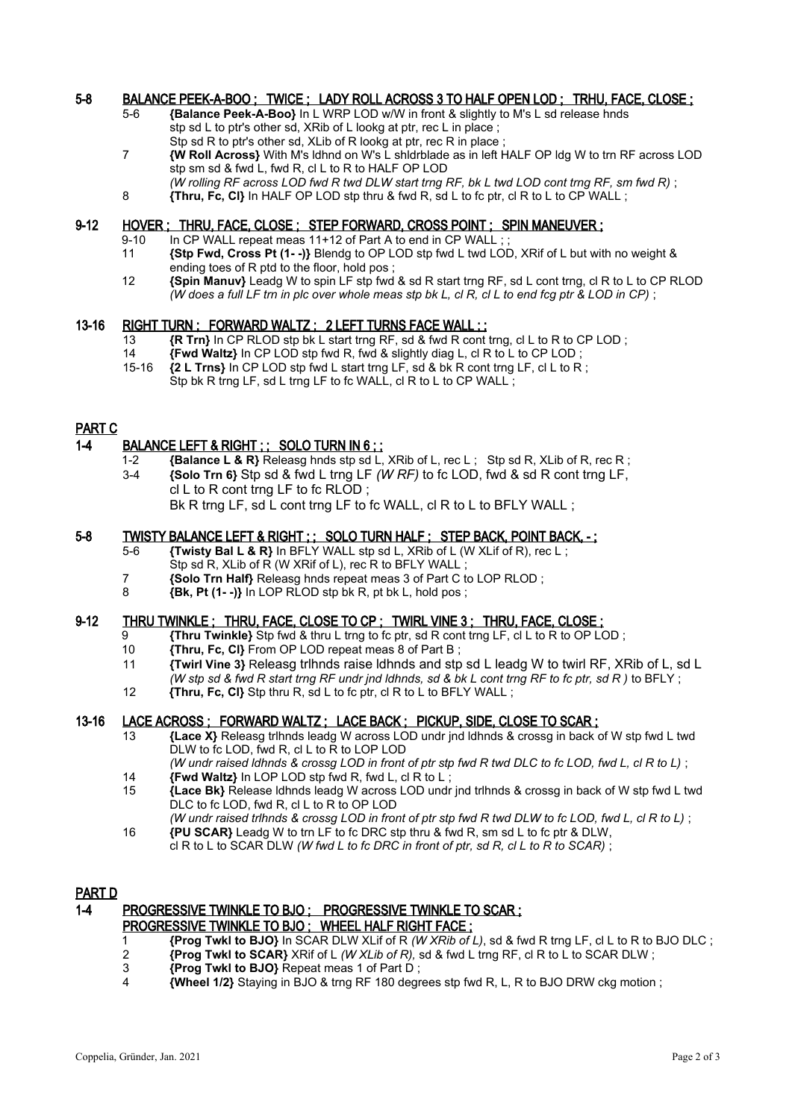## 5-8 BALANCE PEEK-A-BOO ; TWICE ; LADY ROLL ACROSS 3 TO HALF OPEN LOD ; TRHU, FACE, CLOSE ;

- 5-6 **{Balance Peek-A-Boo}** In L WRP LOD w/W in front & slightly to M's L sd release hnds stp sd L to ptr's other sd, XRib of L lookg at ptr, rec L in place; Stp sd R to ptr's other sd, XLib of R lookg at ptr, rec R in place ;
- 7 **{W Roll Across}** With M's ldhnd on W's L shldrblade as in left HALF OP ldg W to trn RF across LOD stp sm sd & fwd L, fwd R, cl L to R to HALF OP LOD
- *(W rolling RF across LOD fwd R twd DLW start trng RF, bk L twd LOD cont trng RF, sm fwd R)* ;
- 8 **Thru, Fc, CI}** In HALF OP LOD stp thru & fwd R, sd L to fc ptr, cl R to L to CP WALL ;

## 9-12 HOVER ; THRU, FACE, CLOSE ; STEP FORWARD, CROSS POINT ; SPIN MANEUVER ;

- 9-10 In CP WALL repeat meas 11+12 of Part A to end in CP WALL;<br>11 **Stp Fwd. Cross Pt (1--)}** Blenda to OP LOD stp fwd L twd LO
- 11 **{Stp Fwd, Cross Pt (1- -)}** Blendg to OP LOD stp fwd L twd LOD, XRif of L but with no weight & ending toes of R ptd to the floor, hold pos ;
- 12 **{Spin Manuv}** Leadg W to spin LF stp fwd & sd R start trng RF, sd L cont trng, cl R to L to CP RLOD *(W does a full LF trn in plc over whole meas stp bk L, cl R, cl L to end fcg ptr & LOD in CP)* ;

## 13-16 RIGHT TURN ; FORWARD WALTZ ; 2 LEFT TURNS FACE WALL ; ;

- 13 **{R Trn}** In CP RLOD stp bk L start trng RF, sd & fwd R cont trng, cl L to R to CP LOD ;
- 14 **{Fwd Waltz}** In CP LOD stp fwd R, fwd & slightly diag L, cl R to L to CP LOD ; 15-16 **{2 L Trns}** In CP LOD stp fwd L start trng LF, sd & bk R cont trng LF, cl L to R ;
	- Stp bk R trng LF, sd L trng LF to fc WALL, cl R to L to CP WALL;

## PART C

## 1-4 BALANCE LEFT & RIGHT ; ; SOLO TURN IN 6 ; ;

- 1-2 **{Balance L & R}** Releasg hnds stp sd L, XRib of L, rec L ; Stp sd R, XLib of R, rec R ; 3-4 **{Solo Trn 6}** Stp sd & fwd L trng LF *(W RF)* to fc LOD, fwd & sd R cont trng LF,
	- cl L to R cont trng LF to fc RLOD ; Bk R trng LF, sd L cont trng LF to fc WALL, cl R to L to BFLY WALL;

## 5-8 TWISTY BALANCE LEFT & RIGHT ; ; SOLO TURN HALF ; STEP BACK, POINT BACK, - ;

- 5-6 **{Twisty Bal L & R}** In BFLY WALL stp sd L, XRib of L (W XLif of R), rec L ; Stp sd R, XLib of R (W XRif of L), rec R to BFLY WALL
- 7 **{Solo Trn Half}** Releasg hnds repeat meas 3 of Part C to LOP RLOD ;
- 8 **{Bk, Pt (1- -)}** In LOP RLOD stp bk R, pt bk L, hold pos ;

## 9-12 THRU TWINKLE ; THRU, FACE, CLOSE TO CP ; TWIRL VINE 3 ; THRU, FACE, CLOSE ;

- 9 **{Thru Twinkle}** Stp fwd & thru L trng to fc ptr, sd R cont trng LF, cl L to R to OP LOD ;
- **Thru, Fc, CI}** From OP LOD repeat meas 8 of Part B :
- 11 **{Twirl Vine 3}** Releasg trlhnds raise ldhnds and stp sd L leadg W to twirl RF, XRib of L, sd L *(W stp sd & fwd R start trng RF undr jnd ldhnds, sd & bk L cont trng RF to fc ptr, sd R )* to BFLY ;
- 12 **{Thru, Fc, Cl}** Stp thru R, sd L to fc ptr, cl R to L to BFLY WALL ;

## 13-16 LACE ACROSS ; FORWARD WALTZ ; LACE BACK ; PICKUP, SIDE, CLOSE TO SCAR ;

13 **{Lace X}** Releasg trlhnds leadg W across LOD undr jnd ldhnds & crossg in back of W stp fwd L twd DLW to fc LOD, fwd R, cl L to R to LOP LOD

*(W undr raised ldhnds & crossg LOD in front of ptr stp fwd R twd DLC to fc LOD, fwd L, cl R to L)* ; 14 **{Fwd Waltz}** In LOP LOD stp fwd R, fwd L, cl R to L ;

- 15 **{Lace Bk}** Release ldhnds leadg W across LOD undr jnd trlhnds & crossg in back of W stp fwd L twd DLC to fc LOD, fwd R, cl L to R to OP LOD
- *(W undr raised trlhnds & crossg LOD in front of ptr stp fwd R twd DLW to fc LOD, fwd L, cl R to L)* ; 16 **{PU SCAR}** Leadg W to trn LF to fc DRC stp thru & fwd R, sm sd L to fc ptr & DLW,
	- cl R to L to SCAR DLW *(W fwd L to fc DRC in front of ptr, sd R, cl L to R to SCAR)* ;

## PART D

# 1-4 PROGRESSIVE TWINKLE TO BJO ; PROGRESSIVE TWINKLE TO SCAR ;

# PROGRESSIVE TWINKLE TO BJO; WHEEL HALF RIGHT FACE;

- 1 **{Prog Twkl to BJO}** In SCAR DLW XLif of R *(W XRib of L)*, sd & fwd R trng LF, cl L to R to BJO DLC ;
- **2** *Rrog Twkl to SCAR} XRif of L <i>(W XLib of R)***, sd & fwd L trng RF, cl R to L to SCAR DLW ;<br>3 <b>Prog Twkl to BJO}** Repeat meas 1 of Part D :
- **3 {Prog Twkl to BJO}** Repeat meas 1 of Part D ;<br>4 **M/heel 1/2}** Staving in BJO & trng RE 180 degr
- 4 **{Wheel 1/2}** Staying in BJO & trng RF 180 degrees stp fwd R, L, R to BJO DRW ckg motion ;